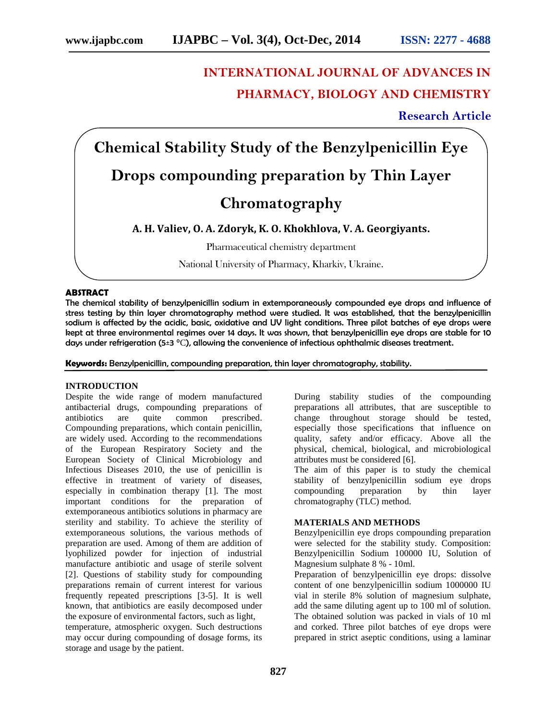# **INTERNATIONAL JOURNAL OF ADVANCES IN PHARMACY, BIOLOGY AND CHEMISTRY**

**Research Article**

**Chemical Stability Study of the Benzylpenicillin Eye Drops compounding preparation by Thin Layer Chromatography**

**А. H. Valiev, O. А. Zdoryk, K. O. Khokhlova, V. А. Georgiyants.**

Pharmaceutical chemistry department

National University of Pharmacy, Kharkiv, Ukraine.

### **ABSTRACT**

The chemical stability of benzylpenicillin sodium in extemporaneously compounded eye drops and influence of stress testing by thin layer chromatography method were studied. It was established, that the benzylpenicillin sodium is affected by the acidic, basic, oxidative and UV light conditions. Three pilot batches of eye drops were kept at three environmental regimes over 14 days. It was shown, that benzylpenicillin eye drops are stable for 10 days under refrigeration (5±3 $^{\circ}$ ), allowing the convenience of infectious ophthalmic diseases treatment.

**Keywords:** Benzylpenicillin, compounding preparation, thin layer chromatography, stability.

#### **INTRODUCTION**

Despite the wide range of modern manufactured antibacterial drugs, compounding preparations of antibiotics are quite common prescribed. Compounding preparations, which contain penicillin, are widely used. According to the recommendations of the European Respiratory Society and the European Society of Clinical Microbiology and Infectious Diseases 2010, the use of penicillin is effective in treatment of variety of diseases, especially in combination therapy [1]. The most important conditions for the preparation of extemporaneous antibiotics solutions in pharmacy are sterility and stability. To achieve the sterility of extemporaneous solutions, the various methods of preparation are used. Among of them are addition of lyophilized powder for injection of industrial manufacture antibiotic and usage of sterile solvent [2]. Questions of stability study for compounding preparations remain of current interest for various frequently repeated prescriptions [3-5]. It is well known, that antibiotics are easily decomposed under the exposure of environmental factors, such as light, temperature, atmospheric oxygen. Such destructions may occur during compounding of dosage forms, its storage and usage by the patient.

During stability studies of the compounding preparations all attributes, that are susceptible to change throughout storage should be tested, especially those specifications that influence on quality, safety and/or efficacy. Above all the physical, chemical, biological, and microbiological attributes must be considered [6].

The aim of this paper is to study the chemical stability of benzylpenicillin sodium eye drops compounding preparation by thin layer chromatography (TLC) method.

#### **MATERIALS AND METHODS**

Benzylpenicillin eye drops compounding preparation were selected for the stability study. Composition: Benzylpenicillin Sodium 100000 IU, Solution of Magnesium sulphate 8 % - 10ml.

Preparation of benzylpenicillin eye drops: dissolve content of one benzylpenicillin sodium 1000000 IU vial in sterile 8% solution of magnesium sulphate, add the same diluting agent up to 100 ml of solution. The obtained solution was packed in vials of 10 ml and corked. Three pilot batches of eye drops were prepared in strict aseptic conditions, using a laminar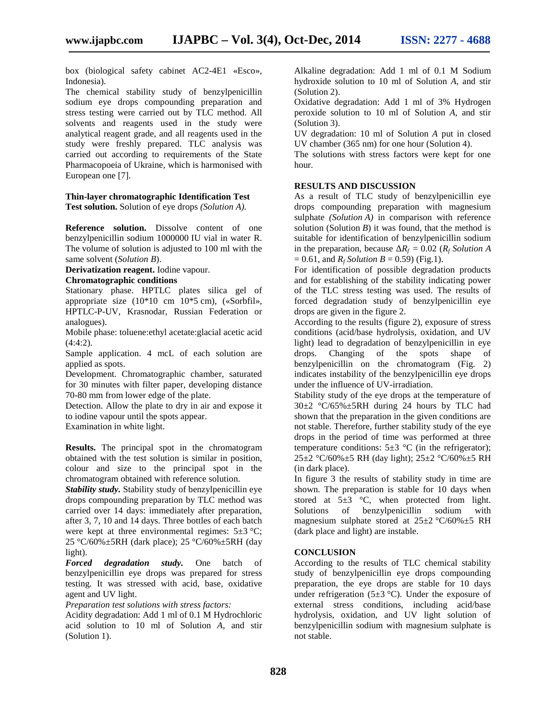box (biological safety cabinet  $2-4$  1 « sco», Indonesia).

The chemical stability study of benzylpenicillin sodium eye drops compounding preparation and stress testing were carried out by TLC method. All solvents and reagents used in the study were analytical reagent grade, and all reagents used in the study were freshly prepared. TLC analysis was carried out according to requirements of the State Pharmacopoeia of Ukraine, which is harmonised with European one [7].

# **Thin-layer chromatographic Identification Test**

**Test solution.** Solution of eye drops *(Solution A).*

**Reference solution.** Dissolve content of one benzylpenicillin sodium 1000000 IU vial in water R. The volume of solution is adjusted to 100 ml with the same solvent (*Solution B*).

**Derivatization reagent.** Iodine vapour.

# **Chromatographic conditions**

Stationary phase. HPTLC plates silica gel of appropriate size (10\*10 cm 10\*5 cm), («Sorbfil», HPTLC-P-UV, Krasnodar, Russian Federation or analogues).

Mobile phase: toluene:ethyl acetate:glacial acetic acid  $(4:4:2)$ .

Sample application. 4 mcL of each solution are applied as spots.

Development. Chromatographic chamber, saturated for 30 minutes with filter paper, developing distance 70-80 mm from lower edge of the plate.

Detection. Allow the plate to dry in air and expose it to iodine vapour until the spots appear.

Examination in white light.

**Results.** The principal spot in the chromatogram obtained with the test solution is similar in position, colour and size to the principal spot in the chromatogram obtained with reference solution.

*Stability study.* Stability study of benzylpenicillin eye drops compounding preparation by TLC method was carried over 14 days: immediately after preparation, after 3, 7, 10 and 14 days. Three bottles of each batch were kept at three environmental regimes:  $5\pm3$  °; 25 ° /60% $\pm$ 5RH (dark place); 25 ° /60% $\pm$ 5RH (day light).

*Forced degradation study.* One batch of benzylpenicillin eye drops was prepared for stress testing. It was stressed with acid, base, oxidative agent and UV light.

*Preparation test solutions with stress factors:*

Acidity degradation: Add 1 ml of 0.1 M Hydrochloric acid solution to 10 ml of Solution , and stir (Solution 1).

Alkaline degradation: Add 1 ml of 0.1 M Sodium hydroxide solution to 10 ml of Solution , and stir (Solution 2).

Oxidative degradation: Add 1 ml of 3% Hydrogen peroxide solution to 10 ml of Solution , and stir (Solution 3).

UV degradation: 10 ml of Solution put in closed UV chamber (365 nm) for one hour (Solution 4).

The solutions with stress factors were kept for one hour.

## **RESULTS AND DISCUSSION**

As a result of TLC study of benzylpenicillin eye drops compounding preparation with magnesium sulphate *(Solution* ) in comparison with reference solution (Solution ) it was found, that the method is suitable for identification of benzylpenicillin sodium in the preparation, because  $R_f = 0.02$  ( $R_f$  *Solution*)  $= 0.61$ , and  $R_f$  *Solution* = 0.59) (Fig.1).

For identification of possible degradation products and for establishing of the stability indicating power of the TLC stress testing was used. The results of forced degradation study of benzylpenicillin eye drops are given in the figure 2.

According to the results (figure 2), exposure of stress conditions (acid/base hydrolysis, oxidation, and UV light) lead to degradation of benzylpenicillin in eye drops. Changing of the spots shape of benzylpenicillin on the chromatogram (Fig. 2) indicates instability of the benzylpenicillin eye drops under the influence of UV-irradiation.

Stability study of the eye drops at the temperature of  $30\pm2$  °C/65% $\pm$ 5RH during 24 hours by TLC had shown that the preparation in the given conditions are not stable. Therefore, further stability study of the eye drops in the period of time was performed at three temperature conditions:  $5\pm3$  °C (in the refrigerator);  $25\pm2~^{\circ}C/60\%$   $\pm$ 5 RH (day light);  $25\pm2~^{\circ}C/60\%$   $\pm$ 5 RH (in dark place).

In figure 3 the results of stability study in time are shown. The preparation is stable for 10 days when stored at  $5\pm3$  °C, when protected from light. Solutions of benzylpenicillin sodium with magnesium sulphate stored at  $25\pm2$  ° /60% $\pm5$  RH (dark place and light) are instable.

# **CONCLUSION**

According to the results of TLC chemical stability study of benzylpenicillin eye drops compounding preparation, the eye drops are stable for 10 days under refrigeration (5 $\pm$ 3<sup>°</sup>). Under the exposure of external stress conditions, including acid/base hydrolysis, oxidation, and UV light solution of benzylpenicillin sodium with magnesium sulphate is not stable.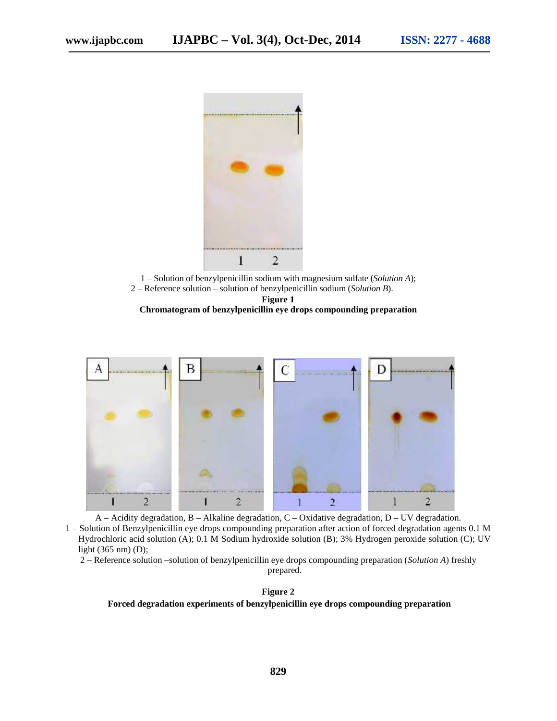

1 – Solution of benzylpenicillin sodium with magnesium sulfate (*Solution*); 2 – Reference solution – solution of benzylpenicillin sodium (*Solution*).

**Figure 1**

**Chromatogram of benzylpenicillin eye drops compounding preparation**



– Acidity degradation, – Alkaline degradation, – Oxidative degradation,  $D - UV$  degradation. 1 – Solution of Benzylpenicillin eye drops compounding preparation after action of forced degradation agents 0.1 M Hydrochloric acid solution ( $\rightarrow$ ); 0.1 M Sodium hydroxide solution ( $\rightarrow$ ); 3% Hydrogen peroxide solution (C); UV light (365 nm) (D);

2 – Reference solution –solution of benzylpenicillin eye drops compounding preparation (*Solution A*) freshly

prepared.

**Figure 2 Forced degradation experiments of benzylpenicillin eye drops compounding preparation**